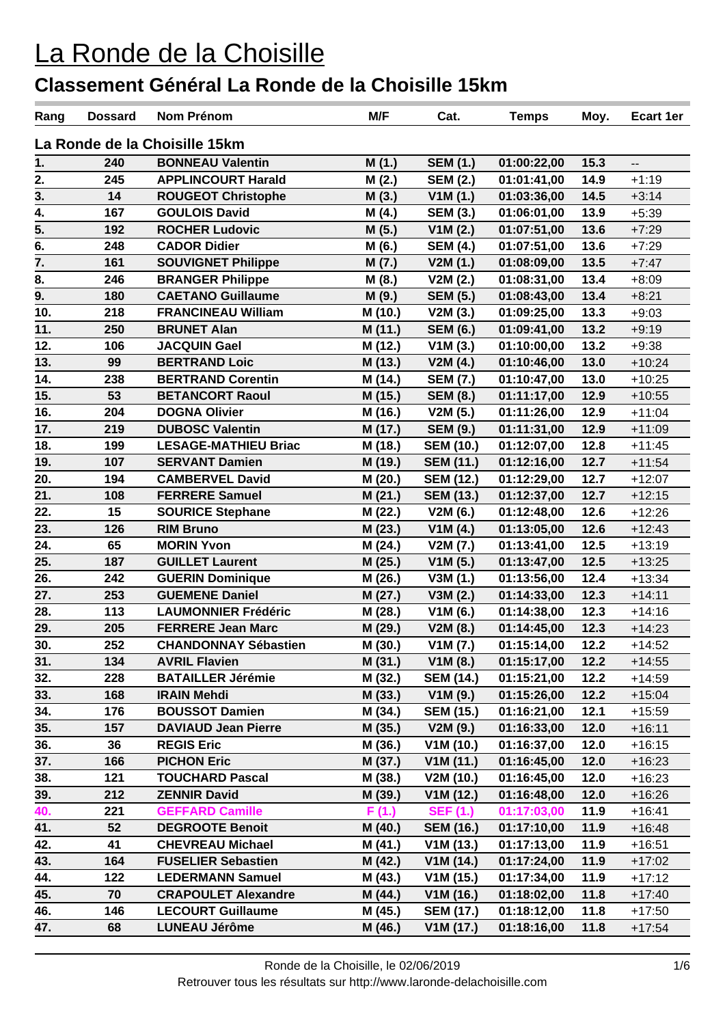| Rang | <b>Dossard</b>                | <b>Nom Prénom</b>           | M/F     | Cat.             | <b>Temps</b> | Moy. | <b>Ecart 1er</b>         |  |  |
|------|-------------------------------|-----------------------------|---------|------------------|--------------|------|--------------------------|--|--|
|      | La Ronde de la Choisille 15km |                             |         |                  |              |      |                          |  |  |
| 1.   | 240                           | <b>BONNEAU Valentin</b>     | M(1.)   | <b>SEM (1.)</b>  | 01:00:22,00  | 15.3 | $\overline{\phantom{a}}$ |  |  |
| 2.   | 245                           | <b>APPLINCOURT Harald</b>   | M(2.)   | <b>SEM (2.)</b>  | 01:01:41,00  | 14.9 | $+1:19$                  |  |  |
| 3.   | 14                            | <b>ROUGEOT Christophe</b>   | M(3.)   | V1M(1.)          | 01:03:36,00  | 14.5 | $+3:14$                  |  |  |
| 4.   | 167                           | <b>GOULOIS David</b>        | M(4.)   | <b>SEM (3.)</b>  | 01:06:01,00  | 13.9 | $+5:39$                  |  |  |
| 5.   | 192                           | <b>ROCHER Ludovic</b>       | M(5.)   | V1M(2.)          | 01:07:51,00  | 13.6 | $+7:29$                  |  |  |
| 6.   | 248                           | <b>CADOR Didier</b>         | M (6.)  | <b>SEM (4.)</b>  | 01:07:51,00  | 13.6 | $+7:29$                  |  |  |
| 7.   | 161                           | <b>SOUVIGNET Philippe</b>   | M(7.)   | V2M(1.)          | 01:08:09,00  | 13.5 | $+7:47$                  |  |  |
| 8.   | 246                           | <b>BRANGER Philippe</b>     | M(8.)   | V2M(2.)          | 01:08:31,00  | 13.4 | $+8:09$                  |  |  |
| 9.   | 180                           | <b>CAETANO Guillaume</b>    | M (9.)  | <b>SEM (5.)</b>  | 01:08:43,00  | 13.4 | $+8:21$                  |  |  |
| 10.  | 218                           | <b>FRANCINEAU William</b>   | M (10.) | V2M(3.)          | 01:09:25,00  | 13.3 | $+9:03$                  |  |  |
| 11.  | 250                           | <b>BRUNET Alan</b>          | M (11.) | <b>SEM (6.)</b>  | 01:09:41,00  | 13.2 | $+9:19$                  |  |  |
| 12.  | 106                           | <b>JACQUIN Gael</b>         | M (12.) | V1M(3.)          | 01:10:00,00  | 13.2 | $+9:38$                  |  |  |
| 13.  | 99                            | <b>BERTRAND Loic</b>        | M (13.) | V2M(4.)          | 01:10:46,00  | 13.0 | $+10:24$                 |  |  |
| 14.  | 238                           | <b>BERTRAND Corentin</b>    | M (14.) | <b>SEM (7.)</b>  | 01:10:47,00  | 13.0 | $+10:25$                 |  |  |
| 15.  | 53                            | <b>BETANCORT Raoul</b>      | M (15.) | <b>SEM (8.)</b>  | 01:11:17,00  | 12.9 | $+10:55$                 |  |  |
| 16.  | 204                           | <b>DOGNA Olivier</b>        | M (16.) | V2M(5.)          | 01:11:26,00  | 12.9 | $+11:04$                 |  |  |
| 17.  | 219                           | <b>DUBOSC Valentin</b>      | M (17.) | <b>SEM (9.)</b>  | 01:11:31,00  | 12.9 | $+11:09$                 |  |  |
| 18.  | 199                           | <b>LESAGE-MATHIEU Briac</b> | M (18.) | <b>SEM (10.)</b> | 01:12:07,00  | 12.8 | $+11:45$                 |  |  |
| 19.  | 107                           | <b>SERVANT Damien</b>       | M (19.) | <b>SEM (11.)</b> | 01:12:16,00  | 12.7 | $+11:54$                 |  |  |
| 20.  | 194                           | <b>CAMBERVEL David</b>      | M (20.) | <b>SEM (12.)</b> | 01:12:29,00  | 12.7 | $+12:07$                 |  |  |
| 21.  | 108                           | <b>FERRERE Samuel</b>       | M (21.) | <b>SEM (13.)</b> | 01:12:37,00  | 12.7 | $+12:15$                 |  |  |
| 22.  | 15                            | <b>SOURICE Stephane</b>     | M (22.) | V2M(6.)          | 01:12:48,00  | 12.6 | $+12:26$                 |  |  |
| 23.  | 126                           | <b>RIM Bruno</b>            | M (23.) | V1M(4.)          | 01:13:05,00  | 12.6 | $+12:43$                 |  |  |
| 24.  | 65                            | <b>MORIN Yvon</b>           | M (24.) | V2M(7.)          | 01:13:41,00  | 12.5 | $+13:19$                 |  |  |
| 25.  | 187                           | <b>GUILLET Laurent</b>      | M (25.) | V1M(5.)          | 01:13:47,00  | 12.5 | $+13:25$                 |  |  |
| 26.  | 242                           | <b>GUERIN Dominique</b>     | M (26.) | V3M(1.)          | 01:13:56,00  | 12.4 | $+13:34$                 |  |  |
| 27.  | 253                           | <b>GUEMENE Daniel</b>       | M (27.) | V3M(2.)          | 01:14:33,00  | 12.3 | $+14:11$                 |  |  |
| 28.  | 113                           | <b>LAUMONNIER Frédéric</b>  | M (28.) | V1M(6.)          | 01:14:38,00  | 12.3 | $+14:16$                 |  |  |
| 29.  | 205                           | <b>FERRERE Jean Marc</b>    | M (29.) | V2M(8.)          | 01:14:45,00  | 12.3 | $+14:23$                 |  |  |
| 30.  | 252                           | <b>CHANDONNAY Sébastien</b> | M (30.) | V1M(7.)          | 01:15:14,00  | 12.2 | $+14:52$                 |  |  |
| 31.  | 134                           | <b>AVRIL Flavien</b>        | M (31.) | V1M(8.)          | 01:15:17,00  | 12.2 | $+14:55$                 |  |  |
| 32.  | 228                           | <b>BATAILLER Jérémie</b>    | M (32.) | <b>SEM (14.)</b> | 01:15:21,00  | 12.2 | $+14:59$                 |  |  |
| 33.  | 168                           | <b>IRAIN Mehdi</b>          | M (33.) | V1M(9.)          | 01:15:26,00  | 12.2 | $+15:04$                 |  |  |
| 34.  | 176                           | <b>BOUSSOT Damien</b>       | M (34.) | <b>SEM (15.)</b> | 01:16:21,00  | 12.1 | $+15:59$                 |  |  |
| 35.  | 157                           | <b>DAVIAUD Jean Pierre</b>  | M (35.) | V2M(9.)          | 01:16:33,00  | 12.0 | $+16:11$                 |  |  |
| 36.  | 36                            | <b>REGIS Eric</b>           | M (36.) | V1M(10.)         | 01:16:37,00  | 12.0 | $+16:15$                 |  |  |
| 37.  | 166                           | <b>PICHON Eric</b>          | M (37.) | V1M(11.)         | 01:16:45,00  | 12.0 | $+16:23$                 |  |  |
| 38.  | 121                           | <b>TOUCHARD Pascal</b>      | M (38.) | V2M (10.)        | 01:16:45,00  | 12.0 | $+16:23$                 |  |  |
| 39.  | 212                           | <b>ZENNIR David</b>         | M (39.) | V1M(12.)         | 01:16:48,00  | 12.0 | $+16:26$                 |  |  |
| 40.  | 221                           | <b>GEFFARD Camille</b>      | F(1.)   | <b>SEF (1.)</b>  | 01:17:03,00  | 11.9 | $+16:41$                 |  |  |
| 41.  | 52                            | <b>DEGROOTE Benoit</b>      | M (40.) | <b>SEM (16.)</b> | 01:17:10,00  | 11.9 | $+16:48$                 |  |  |
| 42.  | 41                            | <b>CHEVREAU Michael</b>     | M (41.) | V1M(13.)         | 01:17:13,00  | 11.9 | $+16:51$                 |  |  |
| 43.  | 164                           | <b>FUSELIER Sebastien</b>   | M (42.) | V1M(14.)         | 01:17:24,00  | 11.9 | $+17:02$                 |  |  |
| 44.  | 122                           | <b>LEDERMANN Samuel</b>     | M (43.) | V1M(15.)         | 01:17:34,00  | 11.9 | $+17:12$                 |  |  |
| 45.  | 70                            | <b>CRAPOULET Alexandre</b>  | M (44.) | V1M(16.)         | 01:18:02,00  | 11.8 | $+17:40$                 |  |  |
| 46.  | 146                           | <b>LECOURT Guillaume</b>    | M (45.) | <b>SEM (17.)</b> | 01:18:12,00  | 11.8 | $+17:50$                 |  |  |
| 47.  | 68                            | <b>LUNEAU Jérôme</b>        | M (46.) | V1M(17.)         | 01:18:16,00  | 11.8 | $+17:54$                 |  |  |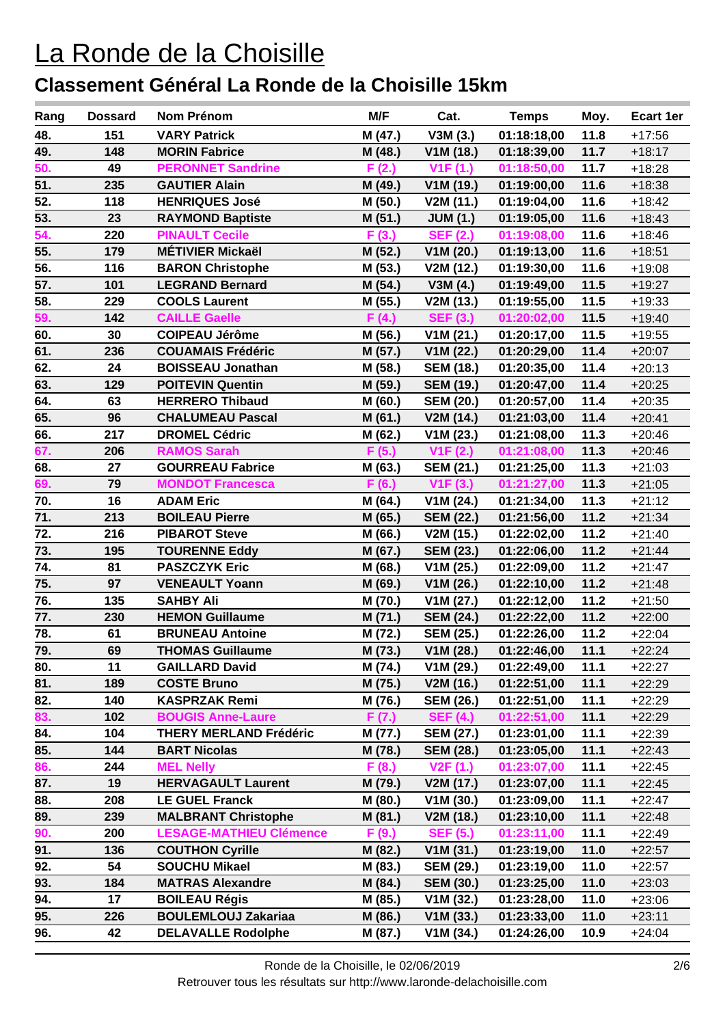| Rang             | <b>Dossard</b> | Nom Prénom                     | M/F        | Cat.                   | <b>Temps</b> | Moy. | Ecart 1er |
|------------------|----------------|--------------------------------|------------|------------------------|--------------|------|-----------|
| 48.              | 151            | <b>VARY Patrick</b>            | M (47.)    | V3M(3.)                | 01:18:18,00  | 11.8 | $+17:56$  |
| 49.              | 148            | <b>MORIN Fabrice</b>           | M (48.)    | V1M (18.)              | 01:18:39,00  | 11.7 | $+18:17$  |
| 50.              | 49             | <b>PERONNET Sandrine</b>       | (2.)<br>F. | V1F(1.)                | 01:18:50,00  | 11.7 | $+18:28$  |
| 51.              | 235            | <b>GAUTIER Alain</b>           | M (49.)    | V1M (19.)              | 01:19:00,00  | 11.6 | $+18:38$  |
| 52.              | 118            | <b>HENRIQUES José</b>          | M (50.)    | V2M (11.)              | 01:19:04,00  | 11.6 | $+18:42$  |
| 53.              | 23             | <b>RAYMOND Baptiste</b>        | M (51.)    | <b>JUM (1.)</b>        | 01:19:05,00  | 11.6 | $+18:43$  |
| 54.              | 220            | <b>PINAULT Cecile</b>          | F(3.)      | <b>SEF (2.)</b>        | 01:19:08,00  | 11.6 | $+18:46$  |
| 55.              | 179            | <b>MÉTIVIER Mickaël</b>        | M (52.)    | V1M(20.)               | 01:19:13,00  | 11.6 | $+18:51$  |
| 56.              | 116            | <b>BARON Christophe</b>        | M (53.)    | V2M (12.)              | 01:19:30,00  | 11.6 | $+19:08$  |
| 57.              | 101            | <b>LEGRAND Bernard</b>         | M (54.)    | V3M(4.)                | 01:19:49,00  | 11.5 | $+19:27$  |
| 58.              | 229            | <b>COOLS Laurent</b>           | M (55.)    | V2M (13.)              | 01:19:55,00  | 11.5 | $+19:33$  |
| 59.              | 142            | <b>CAILLE Gaelle</b>           | F(4.)      | <b>SEF (3.)</b>        | 01:20:02,00  | 11.5 | $+19:40$  |
| 60.              | 30             | <b>COIPEAU Jérôme</b>          | M (56.)    | V1M(21.)               | 01:20:17,00  | 11.5 | $+19:55$  |
| 61.              | 236            | <b>COUAMAIS Frédéric</b>       | M (57.)    | V1M(22.)               | 01:20:29,00  | 11.4 | $+20:07$  |
| 62.              | 24             | <b>BOISSEAU Jonathan</b>       | M (58.)    | <b>SEM (18.)</b>       | 01:20:35,00  | 11.4 | $+20:13$  |
| 63.              | 129            | <b>POITEVIN Quentin</b>        | M (59.)    | <b>SEM (19.)</b>       | 01:20:47,00  | 11.4 | $+20:25$  |
| 64.              | 63             | <b>HERRERO Thibaud</b>         | M(60.)     | <b>SEM (20.)</b>       | 01:20:57,00  | 11.4 | $+20:35$  |
| 65.              | 96             | <b>CHALUMEAU Pascal</b>        | M (61.)    | V2M (14.)              | 01:21:03,00  | 11.4 | $+20:41$  |
| 66.              | 217            | <b>DROMEL Cédric</b>           | M (62.)    | V1M(23.)               | 01:21:08,00  | 11.3 | $+20:46$  |
| 67.              | 206            | <b>RAMOS Sarah</b>             | F(5.)      | V1F(2.)                | 01:21:08,00  | 11.3 | $+20:46$  |
| 68.              | 27             | <b>GOURREAU Fabrice</b>        | M (63.)    | <b>SEM (21.)</b>       | 01:21:25,00  | 11.3 | $+21:03$  |
| 69.              | 79             | <b>MONDOT Francesca</b>        | F(6.)      | V1F(3.)                | 01:21:27,00  | 11.3 | $+21:05$  |
| 70.              | 16             | <b>ADAM Eric</b>               | M (64.)    | V1M(24.)               | 01:21:34,00  | 11.3 | $+21:12$  |
| 71.              | 213            | <b>BOILEAU Pierre</b>          | M (65.)    | <b>SEM (22.)</b>       | 01:21:56,00  | 11.2 | $+21:34$  |
| 72.              | 216            | <b>PIBAROT Steve</b>           | M (66.)    | V2M (15.)              | 01:22:02,00  | 11.2 | $+21:40$  |
| 73.              | 195            | <b>TOURENNE Eddy</b>           | M (67.)    | <b>SEM (23.)</b>       | 01:22:06,00  | 11.2 | $+21:44$  |
| 74.              | 81             | <b>PASZCZYK Eric</b>           | M (68.)    | V1M(25.)               | 01:22:09,00  | 11.2 | $+21:47$  |
| 75.              | 97             | <b>VENEAULT Yoann</b>          | M (69.)    | V1M(26.)               | 01:22:10,00  | 11.2 | $+21:48$  |
| 76.              | 135            | <b>SAHBY Ali</b>               | M (70.)    | V1M(27.)               | 01:22:12,00  | 11.2 | $+21:50$  |
| 77.              | 230            | <b>HEMON Guillaume</b>         | M (71.)    | <b>SEM (24.)</b>       | 01:22:22,00  | 11.2 | $+22:00$  |
| $\overline{78.}$ | 61             | <b>BRUNEAU Antoine</b>         | M (72.)    | <b>SEM (25.)</b>       | 01:22:26,00  | 11.2 | $+22:04$  |
| 79.              | 69             | <b>THOMAS Guillaume</b>        | M (73.)    | V <sub>1</sub> M (28.) | 01:22:46,00  | 11.1 | $+22:24$  |
| 80.              | 11             | <b>GAILLARD David</b>          | M (74.)    | V1M(29.)               | 01:22:49,00  | 11.1 | $+22:27$  |
| 81.              | 189            | <b>COSTE Bruno</b>             | M (75.)    | V2M (16.)              | 01:22:51,00  | 11.1 | $+22:29$  |
| 82.              | 140            | <b>KASPRZAK Remi</b>           | M (76.)    | <b>SEM (26.)</b>       | 01:22:51,00  | 11.1 | +22:29    |
| 83.              | 102            | <b>BOUGIS Anne-Laure</b>       | F(7.)      | <b>SEF (4.)</b>        | 01:22:51,00  | 11.1 | $+22:29$  |
| 84.              | 104            | <b>THERY MERLAND Frédéric</b>  | M (77.)    | <b>SEM (27.)</b>       | 01:23:01,00  | 11.1 | $+22:39$  |
| 85.              | 144            | <b>BART Nicolas</b>            | M (78.)    | <b>SEM (28.)</b>       | 01:23:05,00  | 11.1 | $+22:43$  |
| 86.              | 244            | <b>MEL Nelly</b>               | F(8.)      | V2F(1.)                | 01:23:07,00  | 11.1 | $+22:45$  |
| 87.              | 19             | <b>HERVAGAULT Laurent</b>      | M (79.)    | V2M (17.)              | 01:23:07,00  | 11.1 | $+22:45$  |
| 88.              | 208            | <b>LE GUEL Franck</b>          | M (80.)    | V1M(30.)               | 01:23:09,00  | 11.1 | $+22:47$  |
| 89.              | 239            | <b>MALBRANT Christophe</b>     | M (81.)    | V2M (18.)              | 01:23:10,00  | 11.1 | $+22:48$  |
| 90.              | 200            | <b>LESAGE-MATHIEU Clémence</b> | F(9.)      | <b>SEF (5.)</b>        | 01:23:11,00  | 11.1 | $+22:49$  |
| 91.              | 136            | <b>COUTHON Cyrille</b>         | M (82.)    | V1M(31.)               | 01:23:19,00  | 11.0 | $+22:57$  |
| 92.              | 54             | <b>SOUCHU Mikael</b>           | M (83.)    | <b>SEM (29.)</b>       | 01:23:19,00  | 11.0 | $+22:57$  |
| 93.              | 184            | <b>MATRAS Alexandre</b>        | M (84.)    | <b>SEM (30.)</b>       | 01:23:25,00  | 11.0 | $+23:03$  |
| 94.              | 17             | <b>BOILEAU Régis</b>           | M (85.)    | V1M(32.)               | 01:23:28,00  | 11.0 | $+23:06$  |
| 95.              | 226            | <b>BOULEMLOUJ Zakariaa</b>     | M (86.)    | V1M(33.)               | 01:23:33,00  | 11.0 | $+23:11$  |
| 96.              | 42             | <b>DELAVALLE Rodolphe</b>      | M (87.)    | V1M(34.)               | 01:24:26,00  | 10.9 | $+24:04$  |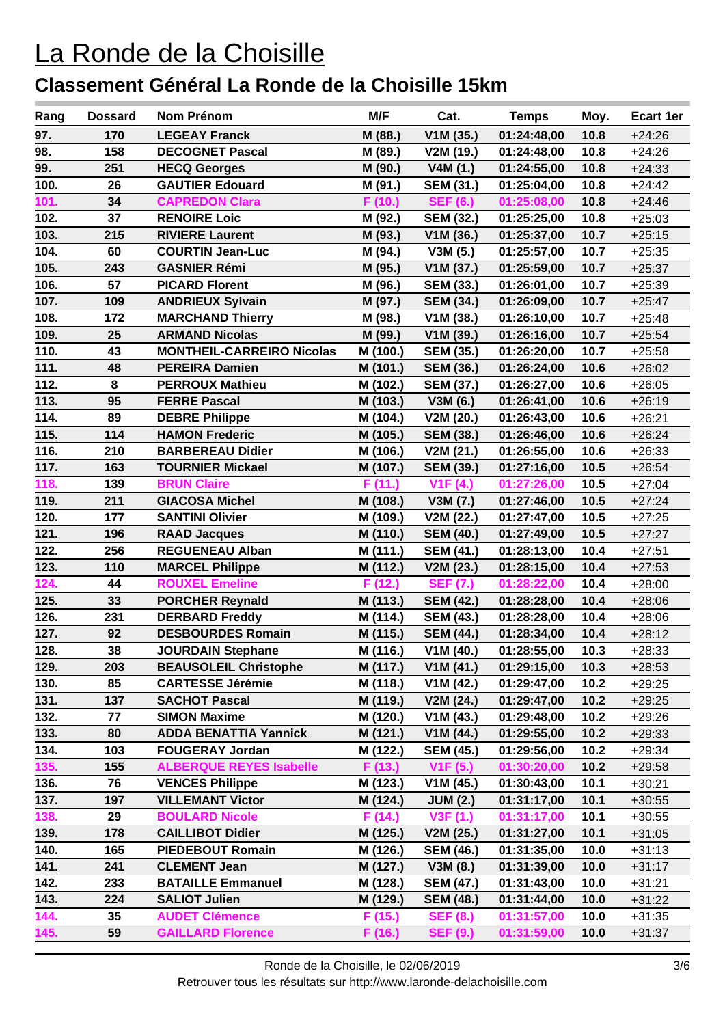| Rang | <b>Dossard</b> | Nom Prénom                       | M/F      | Cat.             | <b>Temps</b> | Moy. | Ecart 1er |
|------|----------------|----------------------------------|----------|------------------|--------------|------|-----------|
| 97.  | 170            | <b>LEGEAY Franck</b>             | M (88.)  | V1M(35.)         | 01:24:48,00  | 10.8 | $+24:26$  |
| 98.  | 158            | <b>DECOGNET Pascal</b>           | M (89.)  | V2M (19.)        | 01:24:48,00  | 10.8 | $+24:26$  |
| 99.  | 251            | <b>HECQ Georges</b>              | M (90.)  | V4M(1.)          | 01:24:55,00  | 10.8 | $+24:33$  |
| 100. | 26             | <b>GAUTIER Edouard</b>           | M (91.)  | <b>SEM (31.)</b> | 01:25:04,00  | 10.8 | $+24:42$  |
| 101. | 34             | <b>CAPREDON Clara</b>            | F (10.)  | <b>SEF (6.)</b>  | 01:25:08,00  | 10.8 | $+24:46$  |
| 102. | 37             | <b>RENOIRE Loic</b>              | M (92.)  | <b>SEM (32.)</b> | 01:25:25,00  | 10.8 | $+25:03$  |
| 103. | 215            | <b>RIVIERE Laurent</b>           | M (93.)  | V1M (36.)        | 01:25:37,00  | 10.7 | $+25:15$  |
| 104. | 60             | <b>COURTIN Jean-Luc</b>          | M (94.)  | V3M(5.)          | 01:25:57,00  | 10.7 | $+25:35$  |
| 105. | 243            | <b>GASNIER Rémi</b>              | M (95.)  | V1M(37.)         | 01:25:59,00  | 10.7 | $+25:37$  |
| 106. | 57             | <b>PICARD Florent</b>            | M (96.)  | <b>SEM (33.)</b> | 01:26:01,00  | 10.7 | $+25:39$  |
| 107. | 109            | <b>ANDRIEUX Sylvain</b>          | M (97.)  | <b>SEM (34.)</b> | 01:26:09,00  | 10.7 | $+25:47$  |
| 108. | 172            | <b>MARCHAND Thierry</b>          | M (98.)  | V1M(38.)         | 01:26:10,00  | 10.7 | $+25:48$  |
| 109. | 25             | <b>ARMAND Nicolas</b>            | M (99.)  | V1M(39.)         | 01:26:16,00  | 10.7 | $+25:54$  |
| 110. | 43             | <b>MONTHEIL-CARREIRO Nicolas</b> | M (100.) | <b>SEM (35.)</b> | 01:26:20,00  | 10.7 | $+25:58$  |
| 111. | 48             | <b>PEREIRA Damien</b>            | M (101.) | <b>SEM (36.)</b> | 01:26:24,00  | 10.6 | $+26:02$  |
| 112. | 8              | <b>PERROUX Mathieu</b>           | M (102.) | <b>SEM (37.)</b> | 01:26:27,00  | 10.6 | $+26:05$  |
| 113. | 95             | <b>FERRE Pascal</b>              | M (103.) | V3M (6.)         | 01:26:41,00  | 10.6 | $+26:19$  |
| 114. | 89             | <b>DEBRE Philippe</b>            | M (104.) | V2M (20.)        | 01:26:43,00  | 10.6 | $+26:21$  |
| 115. | 114            | <b>HAMON Frederic</b>            | M (105.) | <b>SEM (38.)</b> | 01:26:46,00  | 10.6 | $+26:24$  |
| 116. | 210            | <b>BARBEREAU Didier</b>          | M (106.) | V2M(21.)         | 01:26:55,00  | 10.6 | $+26:33$  |
| 117. | 163            | <b>TOURNIER Mickael</b>          | M (107.) | <b>SEM (39.)</b> | 01:27:16,00  | 10.5 | $+26:54$  |
| 118. | 139            | <b>BRUN Claire</b>               | F(11.)   | V1F(4.)          | 01:27:26,00  | 10.5 | $+27:04$  |
| 119. | 211            | <b>GIACOSA Michel</b>            | M (108.) | V3M (7.)         | 01:27:46,00  | 10.5 | $+27:24$  |
| 120. | 177            | <b>SANTINI Olivier</b>           | M (109.) | V2M(22.)         | 01:27:47,00  | 10.5 | $+27:25$  |
| 121. | 196            | <b>RAAD Jacques</b>              | M (110.) | <b>SEM (40.)</b> | 01:27:49,00  | 10.5 | $+27:27$  |
| 122. | 256            | <b>REGUENEAU Alban</b>           | M (111.) | <b>SEM (41.)</b> | 01:28:13,00  | 10.4 | $+27:51$  |
| 123. | 110            | <b>MARCEL Philippe</b>           | M (112.) | V2M(23.)         | 01:28:15,00  | 10.4 | $+27:53$  |
| 124. | 44             | <b>ROUXEL Emeline</b>            | F (12.)  | <b>SEF (7.)</b>  | 01:28:22,00  | 10.4 | $+28:00$  |
| 125. | 33             | <b>PORCHER Reynald</b>           | M (113.) | <b>SEM (42.)</b> | 01:28:28,00  | 10.4 | $+28:06$  |
| 126. | 231            | <b>DERBARD Freddy</b>            | M (114.) | <b>SEM (43.)</b> | 01:28:28,00  | 10.4 | $+28:06$  |
| 127. | 92             | <b>DESBOURDES Romain</b>         | M (115.) | <b>SEM (44.)</b> | 01:28:34,00  | 10.4 | $+28:12$  |
| 128. | 38             | <b>JOURDAIN Stephane</b>         | M (116.) | V1M (40.)        | 01:28:55,00  | 10.3 | $+28:33$  |
| 129. | 203            | <b>BEAUSOLEIL Christophe</b>     | M (117.) | V1M(41.)         | 01:29:15,00  | 10.3 | $+28:53$  |
| 130. | 85             | <b>CARTESSE Jérémie</b>          | M (118.) | V1M(42.)         | 01:29:47,00  | 10.2 | $+29:25$  |
| 131. | 137            | <b>SACHOT Pascal</b>             | M (119.) | V2M(24.)         | 01:29:47,00  | 10.2 | $+29:25$  |
| 132. | 77             | <b>SIMON Maxime</b>              | M (120.) | V1M(43.)         | 01:29:48,00  | 10.2 | $+29:26$  |
| 133. | 80             | <b>ADDA BENATTIA Yannick</b>     | M (121.) | V1M(44.)         | 01:29:55,00  | 10.2 | $+29:33$  |
| 134. | 103            | <b>FOUGERAY Jordan</b>           | M (122.) | <b>SEM (45.)</b> | 01:29:56,00  | 10.2 | $+29:34$  |
| 135. | 155            | <b>ALBERQUE REYES Isabelle</b>   | F(13.)   | V1F(5.)          | 01:30:20,00  | 10.2 | $+29:58$  |
| 136. | 76             | <b>VENCES Philippe</b>           | M (123.) | V1M(45.)         | 01:30:43,00  | 10.1 | $+30:21$  |
| 137. | 197            | <b>VILLEMANT Victor</b>          | M (124.) | <b>JUM (2.)</b>  | 01:31:17,00  | 10.1 | $+30:55$  |
| 138. | 29             | <b>BOULARD Nicole</b>            | F(14.)   | V3F(1.)          | 01:31:17,00  | 10.1 | $+30:55$  |
| 139. | 178            | <b>CAILLIBOT Didier</b>          | M (125.) | V2M (25.)        | 01:31:27,00  | 10.1 | $+31:05$  |
| 140. | 165            | <b>PIEDEBOUT Romain</b>          | M (126.) | <b>SEM (46.)</b> | 01:31:35,00  | 10.0 | $+31:13$  |
| 141. | 241            | <b>CLEMENT Jean</b>              | M (127.) | V3M (8.)         | 01:31:39,00  | 10.0 | $+31:17$  |
| 142. | 233            | <b>BATAILLE Emmanuel</b>         | M (128.) | <b>SEM (47.)</b> | 01:31:43,00  | 10.0 | $+31:21$  |
| 143. | 224            | <b>SALIOT Julien</b>             | M (129.) | <b>SEM (48.)</b> | 01:31:44,00  | 10.0 | $+31:22$  |
| 144. | 35             | <b>AUDET Clémence</b>            | F (15.)  | <b>SEF (8.)</b>  | 01:31:57,00  | 10.0 | $+31:35$  |
| 145. | 59             | <b>GAILLARD Florence</b>         | F (16.)  | <b>SEF (9.)</b>  | 01:31:59,00  | 10.0 | $+31:37$  |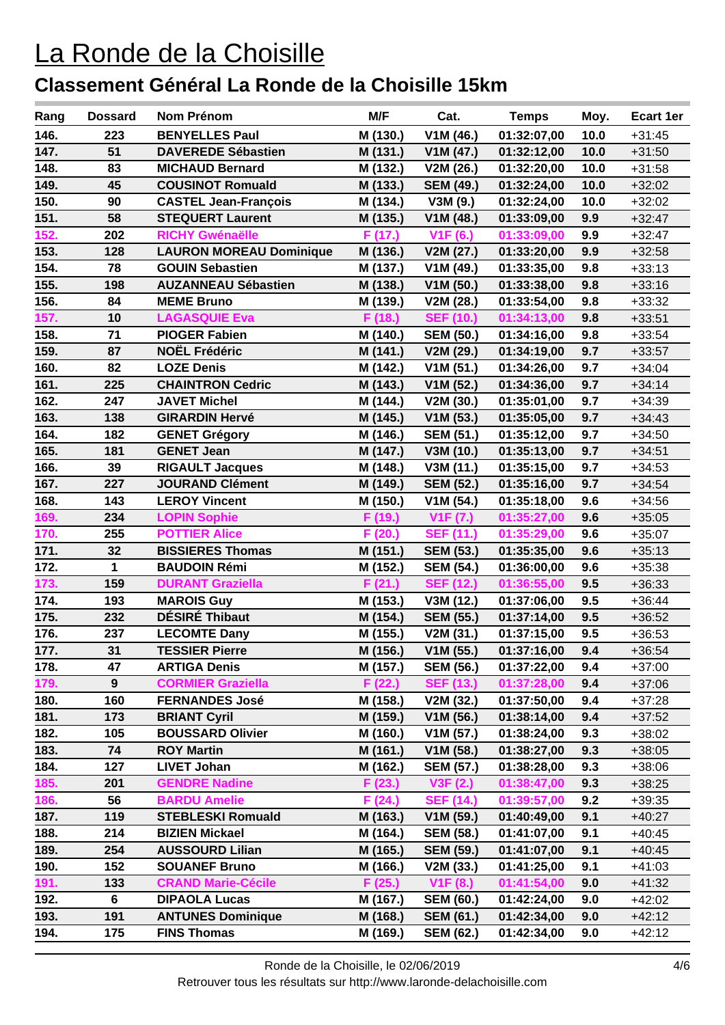| Rang | <b>Dossard</b>   | <b>Nom Prénom</b>              | M/F      | Cat.                  | <b>Temps</b> | Moy. | Ecart 1er |
|------|------------------|--------------------------------|----------|-----------------------|--------------|------|-----------|
| 146. | 223              | <b>BENYELLES Paul</b>          | M (130.) | V1M (46.)             | 01:32:07,00  | 10.0 | $+31:45$  |
| 147. | 51               | <b>DAVEREDE Sébastien</b>      | M (131.) | V1M(47.)              | 01:32:12,00  | 10.0 | $+31:50$  |
| 148. | 83               | <b>MICHAUD Bernard</b>         | M (132.) | V2M (26.)             | 01:32:20,00  | 10.0 | $+31:58$  |
| 149. | 45               | <b>COUSINOT Romuald</b>        | M (133.) | <b>SEM (49.)</b>      | 01:32:24,00  | 10.0 | $+32:02$  |
| 150. | 90               | <b>CASTEL Jean-François</b>    | M (134.) | V3M(9.)               | 01:32:24,00  | 10.0 | $+32:02$  |
| 151. | 58               | <b>STEQUERT Laurent</b>        | M (135.) | V1M(48.)              | 01:33:09,00  | 9.9  | $+32:47$  |
| 152. | 202              | <b>RICHY Gwénaëlle</b>         | F (17.)  | V <sub>1</sub> F (6.) | 01:33:09,00  | 9.9  | $+32:47$  |
| 153. | 128              | <b>LAURON MOREAU Dominique</b> | M (136.) | V2M (27.)             | 01:33:20,00  | 9.9  | $+32:58$  |
| 154. | 78               | <b>GOUIN Sebastien</b>         | M (137.) | V1M (49.)             | 01:33:35,00  | 9.8  | $+33:13$  |
| 155. | 198              | <b>AUZANNEAU Sébastien</b>     | M (138.) | V1M(50.)              | 01:33:38,00  | 9.8  | $+33:16$  |
| 156. | 84               | <b>MEME Bruno</b>              | M (139.) | V2M (28.)             | 01:33:54,00  | 9.8  | $+33:32$  |
| 157. | 10               | <b>LAGASQUIE Eva</b>           | F (18.)  | <b>SEF (10.)</b>      | 01:34:13,00  | 9.8  | $+33:51$  |
| 158. | 71               | <b>PIOGER Fabien</b>           | M (140.) | <b>SEM (50.)</b>      | 01:34:16,00  | 9.8  | $+33:54$  |
| 159. | 87               | <b>NOËL Frédéric</b>           | M (141.) | V2M (29.)             | 01:34:19,00  | 9.7  | $+33:57$  |
| 160. | 82               | <b>LOZE Denis</b>              | M (142.) | V1M(51.)              | 01:34:26,00  | 9.7  | $+34:04$  |
| 161. | 225              | <b>CHAINTRON Cedric</b>        | M (143.) | V1M(52.)              | 01:34:36,00  | 9.7  | $+34:14$  |
| 162. | 247              | <b>JAVET Michel</b>            | M (144.) | V2M(30.)              | 01:35:01,00  | 9.7  | $+34:39$  |
| 163. | 138              | <b>GIRARDIN Hervé</b>          | M (145.) | V1M(53.)              | 01:35:05,00  | 9.7  | $+34:43$  |
| 164. | 182              | <b>GENET Grégory</b>           | M (146.) | <b>SEM (51.)</b>      | 01:35:12,00  | 9.7  | $+34:50$  |
| 165. | 181              | <b>GENET Jean</b>              | M (147.) | V3M (10.)             | 01:35:13,00  | 9.7  | $+34:51$  |
| 166. | 39               | <b>RIGAULT Jacques</b>         | M (148.) | V3M (11.)             | 01:35:15,00  | 9.7  | $+34:53$  |
| 167. | 227              | <b>JOURAND Clément</b>         | M (149.) | <b>SEM (52.)</b>      | 01:35:16,00  | 9.7  | $+34:54$  |
| 168. | 143              | <b>LEROY Vincent</b>           | M (150.) | V1M (54.)             | 01:35:18,00  | 9.6  | $+34:56$  |
| 169. | 234              | <b>LOPIN Sophie</b>            | F (19.)  | V <sub>1</sub> F(7.)  | 01:35:27,00  | 9.6  | $+35:05$  |
| 170. | 255              | <b>POTTIER Alice</b>           | F(20.)   | <b>SEF (11.)</b>      | 01:35:29,00  | 9.6  | $+35:07$  |
| 171. | 32               | <b>BISSIERES Thomas</b>        | M (151.) | <b>SEM (53.)</b>      | 01:35:35,00  | 9.6  | $+35:13$  |
| 172. | 1                | <b>BAUDOIN Rémi</b>            | M (152.) | <b>SEM (54.)</b>      | 01:36:00,00  | 9.6  | +35:38    |
| 173. | 159              | <b>DURANT Graziella</b>        | F(21.)   | <b>SEF (12.)</b>      | 01:36:55,00  | 9.5  | $+36:33$  |
| 174. | 193              | <b>MAROIS Guy</b>              | M (153.) | V3M (12.)             | 01:37:06,00  | 9.5  | $+36:44$  |
| 175. | 232              | DÉSIRÉ Thibaut                 | M (154.) | <b>SEM (55.)</b>      | 01:37:14,00  | 9.5  | $+36:52$  |
| 176. | 237              | <b>LECOMTE Dany</b>            | M (155.) | V2M(31.)              | 01:37:15,00  | 9.5  | $+36:53$  |
| 177. | 31               | <b>TESSIER Pierre</b>          | M (156.) | V1M(55.)              | 01:37:16,00  | 9.4  | $+36:54$  |
| 178. | 47               | <b>ARTIGA Denis</b>            | M (157.) | <b>SEM (56.)</b>      | 01:37:22,00  | 9.4  | $+37:00$  |
| 179. | $\boldsymbol{9}$ | <b>CORMIER Graziella</b>       | F (22.)  | <b>SEF (13.)</b>      | 01:37:28,00  | 9.4  | $+37:06$  |
| 180. | 160              | <b>FERNANDES José</b>          | M (158.) | V2M (32.)             | 01:37:50,00  | 9.4  | $+37:28$  |
| 181. | 173              | <b>BRIANT Cyril</b>            | M (159.) | V1M(56.)              | 01:38:14,00  | 9.4  | $+37:52$  |
| 182. | 105              | <b>BOUSSARD Olivier</b>        | M (160.) | V1M(57.)              | 01:38:24,00  | 9.3  | $+38:02$  |
| 183. | 74               | <b>ROY Martin</b>              | M (161.) | V1M(58.)              | 01:38:27,00  | 9.3  | +38:05    |
| 184. | 127              | <b>LIVET Johan</b>             | M (162.) | <b>SEM (57.)</b>      | 01:38:28,00  | 9.3  | +38:06    |
| 185. | 201              | <b>GENDRE Nadine</b>           | F(23.)   | V3F(2.)               | 01:38:47,00  | 9.3  | $+38:25$  |
| 186. | 56               | <b>BARDU Amelie</b>            | F(24.)   | <b>SEF (14.)</b>      | 01:39:57,00  | 9.2  | +39:35    |
| 187. | 119              | <b>STEBLESKI Romuald</b>       | M (163.) | V1M(59.)              | 01:40:49,00  | 9.1  | +40:27    |
| 188. | 214              | <b>BIZIEN Mickael</b>          | M (164.) | <b>SEM (58.)</b>      | 01:41:07,00  | 9.1  | $+40:45$  |
| 189. | 254              | <b>AUSSOURD Lilian</b>         | M (165.) | <b>SEM (59.)</b>      | 01:41:07,00  | 9.1  | $+40:45$  |
| 190. | 152              | <b>SOUANEF Bruno</b>           | M (166.) | V2M(33.)              | 01:41:25,00  | 9.1  | +41:03    |
| 191. | 133              | <b>CRAND Marie-Cécile</b>      | F (25.)  | V <sub>1</sub> F (8.) | 01:41:54,00  | 9.0  | $+41:32$  |
| 192. | 6                | <b>DIPAOLA Lucas</b>           | M (167.) | <b>SEM (60.)</b>      | 01:42:24,00  | 9.0  | +42:02    |
| 193. | 191              | <b>ANTUNES Dominique</b>       | M (168.) | <b>SEM (61.)</b>      | 01:42:34,00  | 9.0  | $+42:12$  |
| 194. | 175              | <b>FINS Thomas</b>             | M (169.) | <b>SEM (62.)</b>      | 01:42:34,00  | 9.0  | +42:12    |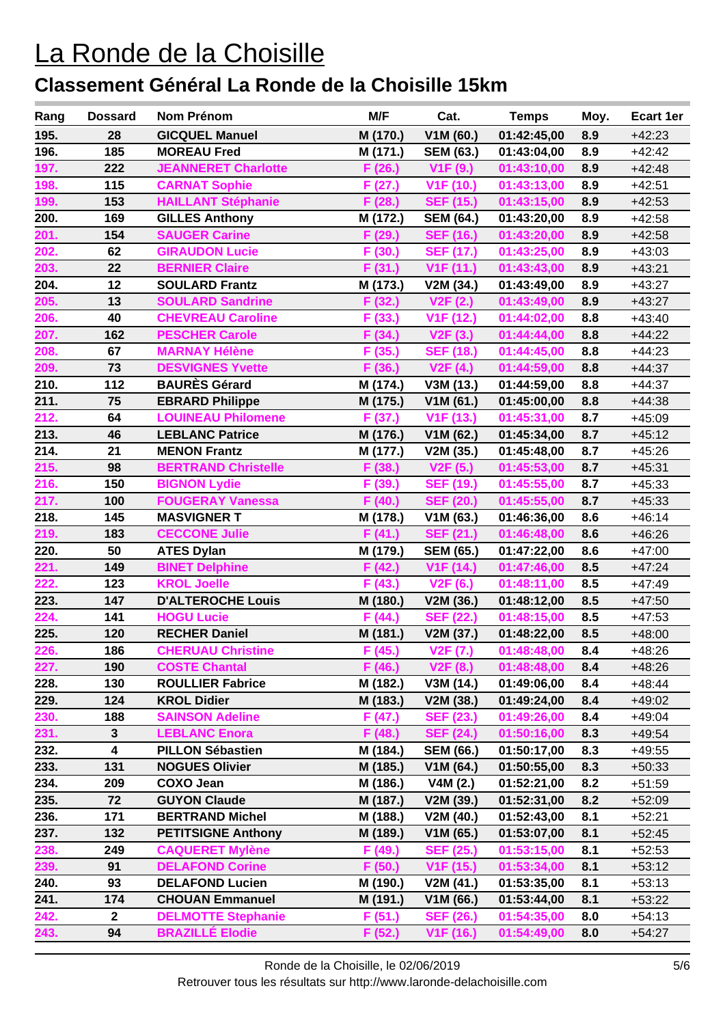| Rang | <b>Dossard</b>          | <b>Nom Prénom</b>          | M/F      | Cat.                   | <b>Temps</b> | Moy. | Ecart 1er |
|------|-------------------------|----------------------------|----------|------------------------|--------------|------|-----------|
| 195. | 28                      | <b>GICQUEL Manuel</b>      | M (170.) | V1M (60.)              | 01:42:45,00  | 8.9  | $+42:23$  |
| 196. | 185                     | <b>MOREAU Fred</b>         | M (171.) | <b>SEM (63.)</b>       | 01:43:04,00  | 8.9  | $+42:42$  |
| 197. | 222                     | <b>JEANNERET Charlotte</b> | F(26.)   | V1F(9.)                | 01:43:10,00  | 8.9  | $+42:48$  |
| 198. | 115                     | <b>CARNAT Sophie</b>       | F (27.)  | V <sub>1</sub> F (10.) | 01:43:13,00  | 8.9  | $+42:51$  |
| 199. | 153                     | <b>HAILLANT Stéphanie</b>  | F (28.)  | <b>SEF (15.)</b>       | 01:43:15,00  | 8.9  | $+42:53$  |
| 200. | 169                     | <b>GILLES Anthony</b>      | M (172.) | <b>SEM (64.)</b>       | 01:43:20,00  | 8.9  | $+42:58$  |
| 201. | 154                     | <b>SAUGER Carine</b>       | F (29.)  | <b>SEF (16.)</b>       | 01:43:20,00  | 8.9  | $+42:58$  |
| 202. | 62                      | <b>GIRAUDON Lucie</b>      | F(30.)   | <b>SEF (17.)</b>       | 01:43:25,00  | 8.9  | $+43:03$  |
| 203. | 22                      | <b>BERNIER Claire</b>      | F(31.)   | V <sub>1</sub> F (11.) | 01:43:43,00  | 8.9  | $+43:21$  |
| 204. | 12                      | <b>SOULARD Frantz</b>      | M (173.) | V2M (34.)              | 01:43:49,00  | 8.9  | $+43:27$  |
| 205. | 13                      | <b>SOULARD Sandrine</b>    | F(32.)   | V2F(2.)                | 01:43:49,00  | 8.9  | $+43:27$  |
| 206. | 40                      | <b>CHEVREAU Caroline</b>   | F (33.)  | V <sub>1</sub> F (12.) | 01:44:02,00  | 8.8  | $+43:40$  |
| 207. | 162                     | <b>PESCHER Carole</b>      | F(34.)   | V2F(3.)                | 01:44:44,00  | 8.8  | $+44:22$  |
| 208. | 67                      | <b>MARNAY Hélène</b>       | F(35.)   | <b>SEF (18.)</b>       | 01:44:45,00  | 8.8  | $+44:23$  |
| 209. | 73                      | <b>DESVIGNES Yvette</b>    | F (36.)  | V2F(4.)                | 01:44:59,00  | 8.8  | $+44:37$  |
| 210. | 112                     | <b>BAURÈS Gérard</b>       | M (174.) | V3M(13.)               | 01:44:59,00  | 8.8  | $+44:37$  |
| 211. | 75                      | <b>EBRARD Philippe</b>     | M (175.) | V1M(61.)               | 01:45:00,00  | 8.8  | $+44:38$  |
| 212. | 64                      | <b>LOUINEAU Philomene</b>  | F(37.)   | V1F (13.)              | 01:45:31,00  | 8.7  | $+45:09$  |
| 213. | 46                      | <b>LEBLANC Patrice</b>     | M (176.) | V1M(62.)               | 01:45:34,00  | 8.7  | $+45:12$  |
| 214. | 21                      | <b>MENON Frantz</b>        | M (177.) | V2M(35.)               | 01:45:48,00  | 8.7  | $+45:26$  |
| 215. | 98                      | <b>BERTRAND Christelle</b> | F (38.)  | V2F(5.)                | 01:45:53,00  | 8.7  | $+45:31$  |
| 216. | 150                     | <b>BIGNON Lydie</b>        | F (39.)  | <b>SEF (19.)</b>       | 01:45:55,00  | 8.7  | $+45:33$  |
| 217. | 100                     | <b>FOUGERAY Vanessa</b>    | F (40.)  | <b>SEF (20.)</b>       | 01:45:55,00  | 8.7  | $+45:33$  |
| 218. | 145                     | <b>MASVIGNER T</b>         | M (178.) | V1M(63.)               | 01:46:36,00  | 8.6  | $+46:14$  |
| 219. | 183                     | <b>CECCONE Julie</b>       | F(41.)   | <b>SEF (21.)</b>       | 01:46:48,00  | 8.6  | $+46:26$  |
| 220. | 50                      | <b>ATES Dylan</b>          | M (179.) | <b>SEM (65.)</b>       | 01:47:22,00  | 8.6  | $+47:00$  |
| 221. | 149                     | <b>BINET Delphine</b>      | F(42.)   | V <sub>1</sub> F (14.) | 01:47:46,00  | 8.5  | $+47:24$  |
| 222. | 123                     | <b>KROL Joelle</b>         | F(43.)   | V2F(6.)                | 01:48:11,00  | 8.5  | $+47:49$  |
| 223. | 147                     | <b>D'ALTEROCHE Louis</b>   | M (180.) | V2M (36.)              | 01:48:12,00  | 8.5  | $+47:50$  |
| 224. | 141                     | <b>HOGU Lucie</b>          | F(44.)   | <b>SEF (22.)</b>       | 01:48:15,00  | 8.5  | $+47:53$  |
| 225. | 120                     | <b>RECHER Daniel</b>       | M (181.) | V2M (37.)              | 01:48:22,00  | 8.5  | $+48:00$  |
| 226. | 186                     | <b>CHERUAU Christine</b>   | F(45.)   | <b>V2F (7.)</b>        | 01:48:48,00  | 8.4  | $+48:26$  |
| 227. | 190                     | <b>COSTE Chantal</b>       | F(46.)   | V2F(8.)                | 01:48:48,00  | 8.4  | $+48:26$  |
| 228. | 130                     | <b>ROULLIER Fabrice</b>    | M (182.) | V3M(14.)               | 01:49:06,00  | 8.4  | $+48:44$  |
| 229. | 124                     | <b>KROL Didier</b>         | M (183.) | V2M (38.)              | 01:49:24,00  | 8.4  | $+49:02$  |
| 230. | 188                     | <b>SAINSON Adeline</b>     | F (47.)  | <b>SEF (23.)</b>       | 01:49:26,00  | 8.4  | $+49:04$  |
| 231. | 3                       | <b>LEBLANC Enora</b>       | F (48.)  | <b>SEF (24.)</b>       | 01:50:16,00  | 8.3  | $+49:54$  |
| 232. | $\overline{\mathbf{4}}$ | <b>PILLON Sébastien</b>    | M (184.) | <b>SEM (66.)</b>       | 01:50:17,00  | 8.3  | $+49:55$  |
| 233. | 131                     | <b>NOGUES Olivier</b>      | M (185.) | V1M(64.)               | 01:50:55,00  | 8.3  | $+50:33$  |
| 234. | 209                     | <b>COXO Jean</b>           | M (186.) | V4M(2.)                | 01:52:21,00  | 8.2  | $+51:59$  |
| 235. | 72                      | <b>GUYON Claude</b>        | M (187.) | V2M(39.)               | 01:52:31,00  | 8.2  | $+52:09$  |
| 236. | 171                     | <b>BERTRAND Michel</b>     | M (188.) | V2M (40.)              | 01:52:43,00  | 8.1  | $+52:21$  |
| 237. | 132                     | <b>PETITSIGNE Anthony</b>  | M (189.) | V1M(65.)               | 01:53:07,00  | 8.1  | $+52:45$  |
| 238. | 249                     | <b>CAQUERET Mylène</b>     | F (49.)  | <b>SEF (25.)</b>       | 01:53:15,00  | 8.1  | $+52:53$  |
| 239. | 91                      | <b>DELAFOND Corine</b>     | F(50.)   | V <sub>1</sub> F (15.) | 01:53:34,00  | 8.1  | $+53:12$  |
| 240. | 93                      | <b>DELAFOND Lucien</b>     | M (190.) | V2M(41.)               | 01:53:35,00  | 8.1  | $+53:13$  |
| 241. | 174                     | <b>CHOUAN Emmanuel</b>     | M (191.) | V1M (66.)              | 01:53:44,00  | 8.1  | $+53:22$  |
| 242. | $\mathbf{2}$            | <b>DELMOTTE Stephanie</b>  | F(51.)   | <b>SEF (26.)</b>       | 01:54:35,00  | 8.0  | $+54:13$  |
| 243. | 94                      | <b>BRAZILLÉ Elodie</b>     | F (52.)  | V <sub>1</sub> F (16.) | 01:54:49,00  | 8.0  | $+54:27$  |